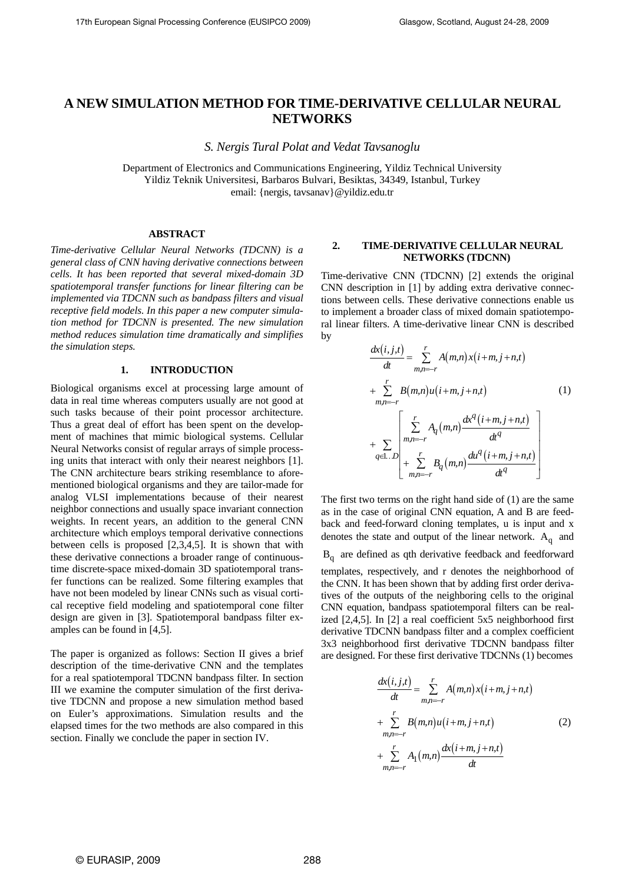# **A NEW SIMULATION METHOD FOR TIME-DERIVATIVE CELLULAR NEURAL NETWORKS**

*S. Nergis Tural Polat and Vedat Tavsanoglu* 

Department of Electronics and Communications Engineering, Yildiz Technical University Yildiz Teknik Universitesi, Barbaros Bulvari, Besiktas, 34349, Istanbul, Turkey email: {nergis, tavsanav}@yildiz.edu.tr

# **ABSTRACT**

*Time-derivative Cellular Neural Networks (TDCNN) is a general class of CNN having derivative connections between cells. It has been reported that several mixed-domain 3D spatiotemporal transfer functions for linear filtering can be implemented via TDCNN such as bandpass filters and visual receptive field models. In this paper a new computer simulation method for TDCNN is presented. The new simulation method reduces simulation time dramatically and simplifies the simulation steps.* 

### **1. INTRODUCTION**

Biological organisms excel at processing large amount of data in real time whereas computers usually are not good at such tasks because of their point processor architecture. Thus a great deal of effort has been spent on the development of machines that mimic biological systems. Cellular Neural Networks consist of regular arrays of simple processing units that interact with only their nearest neighbors [1]. The CNN architecture bears striking resemblance to aforementioned biological organisms and they are tailor-made for analog VLSI implementations because of their nearest neighbor connections and usually space invariant connection weights. In recent years, an addition to the general CNN architecture which employs temporal derivative connections between cells is proposed [2,3,4,5]. It is shown that with these derivative connections a broader range of continuoustime discrete-space mixed-domain 3D spatiotemporal transfer functions can be realized. Some filtering examples that have not been modeled by linear CNNs such as visual cortical receptive field modeling and spatiotemporal cone filter design are given in [3]. Spatiotemporal bandpass filter examples can be found in [4,5].

The paper is organized as follows: Section II gives a brief description of the time-derivative CNN and the templates for a real spatiotemporal TDCNN bandpass filter. In section III we examine the computer simulation of the first derivative TDCNN and propose a new simulation method based on Euler's approximations. Simulation results and the elapsed times for the two methods are also compared in this section. Finally we conclude the paper in section IV.

# **2. TIME-DERIVATIVE CELLULAR NEURAL NETWORKS (TDCNN)**

Time-derivative CNN (TDCNN) [2] extends the original CNN description in [1] by adding extra derivative connections between cells. These derivative connections enable us to implement a broader class of mixed domain spatiotemporal linear filters. A time-derivative linear CNN is described by

$$
\frac{d\mathbf{x}(i,j,t)}{dt} = \sum_{m,n=-r}^{r} A(m,n) \mathbf{x}(i+m, j+n,t)
$$
  
+ 
$$
\sum_{m,n=-r}^{r} B(m,n) \mathbf{u}(i+m, j+n,t)
$$
(1)  
+ 
$$
\sum_{q \in \mathcal{I}} \sum_{n,m=-r}^{r} A_q(m,n) \frac{d\mathbf{x}^q(i+m, j+n,t)}{dt^q}
$$
  
+ 
$$
\sum_{m,n=-r}^{r} B_q(m,n) \frac{d\mathbf{u}^q(i+m, j+n,t)}{dt^q}
$$

The first two terms on the right hand side of (1) are the same as in the case of original CNN equation, A and B are feedback and feed-forward cloning templates, u is input and x denotes the state and output of the linear network.  $A_{q}$  and  $B_q$  are defined as qth derivative feedback and feedforward templates, respectively, and r denotes the neighborhood of the CNN. It has been shown that by adding first order derivatives of the outputs of the neighboring cells to the original CNN equation, bandpass spatiotemporal filters can be realized [2,4,5]. In [2] a real coefficient 5x5 neighborhood first derivative TDCNN bandpass filter and a complex coefficient 3x3 neighborhood first derivative TDCNN bandpass filter are designed. For these first derivative TDCNNs (1) becomes

$$
\frac{dx(i,j,t)}{dt} = \sum_{m,n=-r}^{r} A(m,n)x(i+m,j+n,t)
$$
  
+ 
$$
\sum_{m,n=-r}^{r} B(m,n)u(i+m,j+n,t)
$$
 (2)  
+ 
$$
\sum_{m,n=-r}^{r} A_1(m,n) \frac{dx(i+m,j+n,t)}{dt}
$$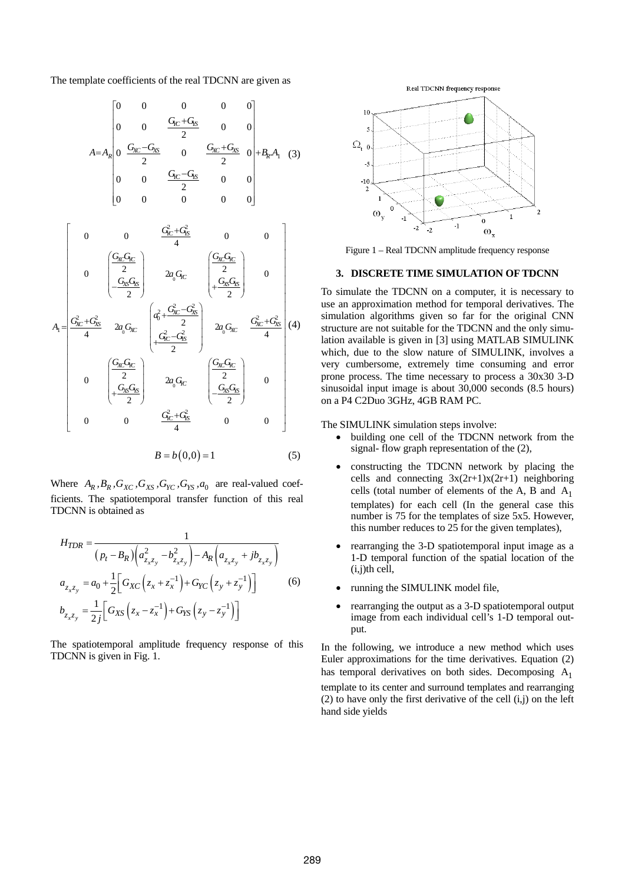The template coefficients of the real TDCNN are given as

$$
A = A_R \begin{bmatrix} 0 & 0 & 0 & 0 & 0 \\ 0 & 0 & \frac{G_{\text{K}C} + G_{\text{K}}}{2} & 0 & 0 \\ 0 & \frac{G_{\text{K}C} - G_{\text{K}}}{2} & 0 & \frac{G_{\text{K}C} + G_{\text{K}}}{2} & 0 \\ 0 & 0 & \frac{G_{\text{K}C} - G_{\text{K}}}{2} & 0 & 0 \\ 0 & 0 & 0 & 0 & 0 \end{bmatrix} + B_R.A_1 \quad (3)
$$

$$
A_{1} = \begin{bmatrix} 0 & 0 & \frac{G_{\text{TC}}^{2} + G_{\text{TS}}^{2}}{4} & 0 & 0 \\ 0 & \left(\frac{G_{\text{XC}}G_{\text{FC}}}{2}\right) & 2a_{0}G_{\text{TC}} & \left(\frac{G_{\text{XC}}G_{\text{TC}}}{2}\right) & 0 \\ -\frac{G_{\text{XC}}G_{\text{TS}}}{2} & 2a_{0}G_{\text{TC}} & \left(\frac{a_{0}^{2} + \frac{G_{\text{XC}}^{2} - G_{\text{TS}}^{2}}{2}\right) & 2a_{0}G_{\text{XC}} & \frac{G_{\text{XC}}^{2} + G_{\text{TS}}^{2}}{4} \right] \\ 0 & \left(\frac{G_{\text{XC}}G_{\text{TC}}}{2}\right) & 2a_{0}G_{\text{TC}} & \left(\frac{G_{\text{XC}}G_{\text{TC}}}{2}\right) & 0 \\ 0 & \left(\frac{G_{\text{XC}}G_{\text{TC}}}{2}\right) & 2a_{0}G_{\text{TC}} & \left(\frac{G_{\text{XC}}G_{\text{TC}}}{2}\right) & 0 \\ 0 & 0 & \frac{G_{\text{TC}}^{2} + G_{\text{TS}}^{2}}{4} & 0 & 0 \end{bmatrix}
$$

$$
B = b(0,0) = 1
$$
 (5)

Where  $A_R$ ,  $B_R$ ,  $G_{XC}$ ,  $G_{XS}$ ,  $G_{YC}$ ,  $G_{YS}$ ,  $a_0$  are real-valued coefficients. The spatiotemporal transfer function of this real TDCNN is obtained as

$$
H_{TDR} = \frac{1}{(p_t - B_R) \left( a_{z_x z_y}^2 - b_{z_x z_y}^2 \right) - A_R \left( a_{z_x z_y} + j b_{z_x z_y} \right)}
$$
  
\n
$$
a_{z_x z_y} = a_0 + \frac{1}{2} \left[ G_{XC} \left( z_x + z_x^{-1} \right) + G_{YC} \left( z_y + z_y^{-1} \right) \right]
$$
  
\n
$$
b_{z_x z_y} = \frac{1}{2j} \left[ G_{XS} \left( z_x - z_x^{-1} \right) + G_{YS} \left( z_y - z_y^{-1} \right) \right]
$$
  
\n(6)

The spatiotemporal amplitude frequency response of this TDCNN is given in Fig. 1.





Figure 1 – Real TDCNN amplitude frequency response

#### **3. DISCRETE TIME SIMULATION OF TDCNN**

To simulate the TDCNN on a computer, it is necessary to use an approximation method for temporal derivatives. The simulation algorithms given so far for the original CNN structure are not suitable for the TDCNN and the only simulation available is given in [3] using MATLAB SIMULINK which, due to the slow nature of SIMULINK, involves a very cumbersome, extremely time consuming and error prone process. The time necessary to process a 30x30 3-D sinusoidal input image is about 30,000 seconds (8.5 hours) on a P4 C2Duo 3GHz, 4GB RAM PC.

The SIMULINK simulation steps involve:

- building one cell of the TDCNN network from the signal- flow graph representation of the (2),
- constructing the TDCNN network by placing the cells and connecting  $3x(2r+1)x(2r+1)$  neighboring cells (total number of elements of the A, B and  $A_1$ ) templates) for each cell (In the general case this number is 75 for the templates of size 5x5. However, this number reduces to 25 for the given templates),
- rearranging the 3-D spatiotemporal input image as a 1-D temporal function of the spatial location of the (i,j)th cell,
- running the SIMULINK model file,
- rearranging the output as a 3-D spatiotemporal output image from each individual cell's 1-D temporal output.

In the following, we introduce a new method which uses Euler approximations for the time derivatives. Equation (2) has temporal derivatives on both sides. Decomposing  $A_1$ template to its center and surround templates and rearranging (2) to have only the first derivative of the cell  $(i,j)$  on the left hand side yields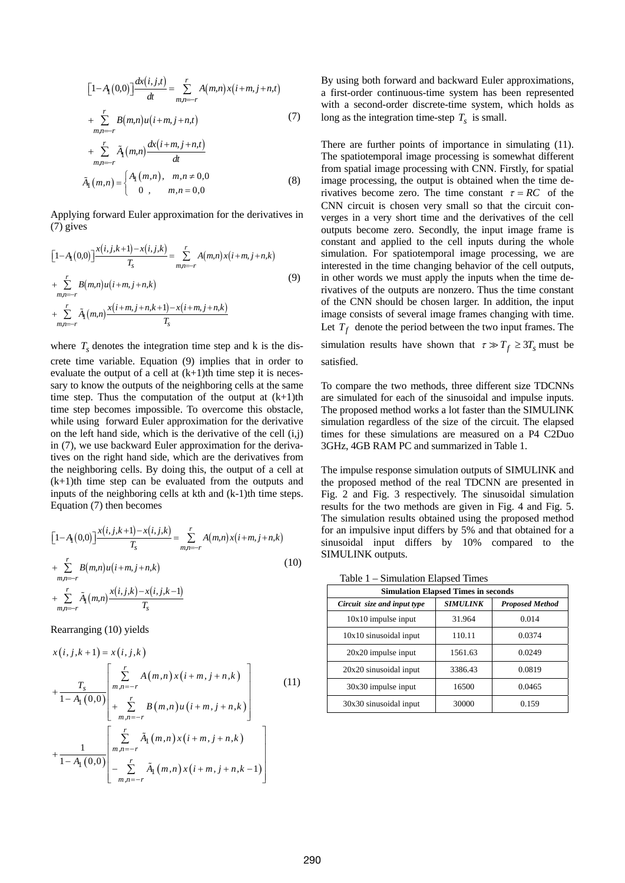$$
[1-A_1(0,0)]\frac{dx(i,j,t)}{dt} = \sum_{m,n=-r}^{r} A(m,n)x(i+m,j+n,t)
$$
  
+ 
$$
\sum_{m,n=-r}^{r} B(m,n)u(i+m,j+n,t)
$$
 (7)

+ 
$$
\sum_{m,n=-r}^{r} \tilde{A}_{1}(m,n) \frac{dx(i+m, j+n, t)}{dt}
$$
  
 $\tilde{A}_{1}(m,n) = \begin{cases} A_{1}(m,n), & m,n \neq 0,0 \\ 0, & m,n = 0,0 \end{cases}$  (8)

Applying forward Euler approximation for the derivatives in (7) gives

$$
[1-A_1(0,0)] \frac{x(i,j,k+1)-x(i,j,k)}{T_s} = \sum_{m,n=-r}^{r} A(m,n)x(i+m,j+n,k)
$$
  
+  $\sum_{m,n=-r}^{r} B(m,n)u(i+m,j+n,k)$   
+  $\sum_{m,n=-r}^{r} \tilde{A}_1(m,n) \frac{x(i+m,j+n,k+1)-x(i+m,j+n,k)}{T_s}$  (9)

where  $T_s$  denotes the integration time step and k is the discrete time variable. Equation (9) implies that in order to evaluate the output of a cell at  $(k+1)$ th time step it is necessary to know the outputs of the neighboring cells at the same time step. Thus the computation of the output at  $(k+1)$ th time step becomes impossible. To overcome this obstacle, while using forward Euler approximation for the derivative on the left hand side, which is the derivative of the cell (i,j) in (7), we use backward Euler approximation for the derivatives on the right hand side, which are the derivatives from the neighboring cells. By doing this, the output of a cell at  $(k+1)$ th time step can be evaluated from the outputs and inputs of the neighboring cells at kth and  $(k-1)$ th time steps. Equation (7) then becomes

$$
[1-A_{1}(0,0)] \frac{x(i,j,k+1)-x(i,j,k)}{T_{s}} = \sum_{m,n=-r}^{r} A(m,n)x(i+m,j+n,k)
$$
  
+  $\sum_{m,n=-r}^{r} B(m,n)u(i+m,j+n,k)$  (10)  
+  $\sum_{m,n=-r}^{r} \tilde{A}_{1}(m,n) \frac{x(i,j,k)-x(i,j,k-1)}{T_{s}}$ 

Rearranging (10) yields

$$
x(i, j, k+1) = x(i, j, k)
$$
  
+ 
$$
\frac{T_s}{1 - A_1(0, 0)} \left[ \sum_{m,n=-r}^{r} A(m,n) x(i+m, j+n, k) \right]
$$
  
+ 
$$
\sum_{m,n=-r}^{r} B(m,n) u(i+m, j+n, k)
$$
  
+ 
$$
\frac{1}{1 - A_1(0, 0)} \left[ \sum_{m,n=-r}^{r} \tilde{A}_1(m,n) x(i+m, j+n, k) \right]
$$
  
- 
$$
\sum_{m,n=-r}^{r} \tilde{A}_1(m,n) x(i+m, j+n, k-1)
$$
 (11)

By using both forward and backward Euler approximations, a first-order continuous-time system has been represented with a second-order discrete-time system, which holds as long as the integration time-step  $T_s$  is small.

There are further points of importance in simulating (11). The spatiotemporal image processing is somewhat different from spatial image processing with CNN. Firstly, for spatial image processing, the output is obtained when the time derivatives become zero. The time constant  $\tau = RC$  of the CNN circuit is chosen very small so that the circuit converges in a very short time and the derivatives of the cell outputs become zero. Secondly, the input image frame is constant and applied to the cell inputs during the whole simulation. For spatiotemporal image processing, we are interested in the time changing behavior of the cell outputs, in other words we must apply the inputs when the time derivatives of the outputs are nonzero. Thus the time constant of the CNN should be chosen larger. In addition, the input image consists of several image frames changing with time. Let  $T_f$  denote the period between the two input frames. The

simulation results have shown that  $\tau \gg T_f \geq 3T_s$  must be satisfied.

To compare the two methods, three different size TDCNNs are simulated for each of the sinusoidal and impulse inputs. The proposed method works a lot faster than the SIMULINK simulation regardless of the size of the circuit. The elapsed times for these simulations are measured on a P4 C2Duo 3GHz, 4GB RAM PC and summarized in Table 1.

The impulse response simulation outputs of SIMULINK and the proposed method of the real TDCNN are presented in Fig. 2 and Fig. 3 respectively. The sinusoidal simulation results for the two methods are given in Fig. 4 and Fig. 5. The simulation results obtained using the proposed method for an impulsive input differs by 5% and that obtained for a sinusoidal input differs by 10% compared to the SIMULINK outputs.

Table 1 – Simulation Elapsed Times

| <b>Simulation Elapsed Times in seconds</b> |                 |                        |
|--------------------------------------------|-----------------|------------------------|
| Circuit size and input type                | <b>SIMULINK</b> | <b>Proposed Method</b> |
| 10x10 impulse input                        | 31.964          | 0.014                  |
| $10x10$ sinusoidal input                   | 110.11          | 0.0374                 |
| $20x20$ impulse input                      | 1561.63         | 0.0249                 |
| $20x20$ sinusoidal input                   | 3386.43         | 0.0819                 |
| 30x30 impulse input                        | 16500           | 0.0465                 |
| 30x30 sinusoidal input                     | 30000           | 0.159                  |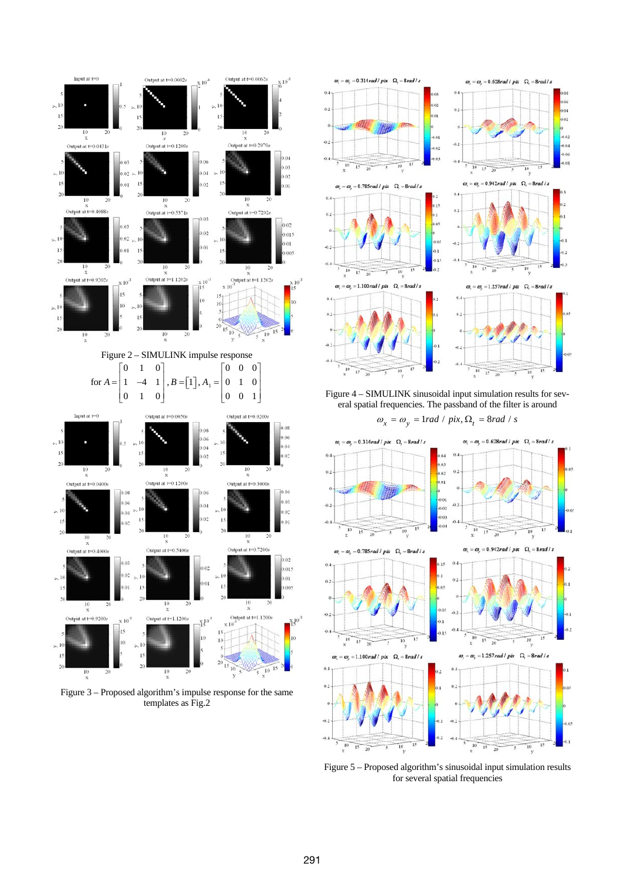

Figure 3 – Proposed algorithm's impulse response for the same templates as Fig.2



 $\overline{a}$ 

 $\ddot{a}$ 

 $\ddot{\alpha}$ 

 $\ddot{a}$ 

 $\alpha$ 

 $\alpha$ 

Figure 4 – SIMULINK sinusoidal input simulation results for several spatial frequencies. The passband of the filter is around





Figure 5 – Proposed algorithm's sinusoidal input simulation results for several spatial frequencies